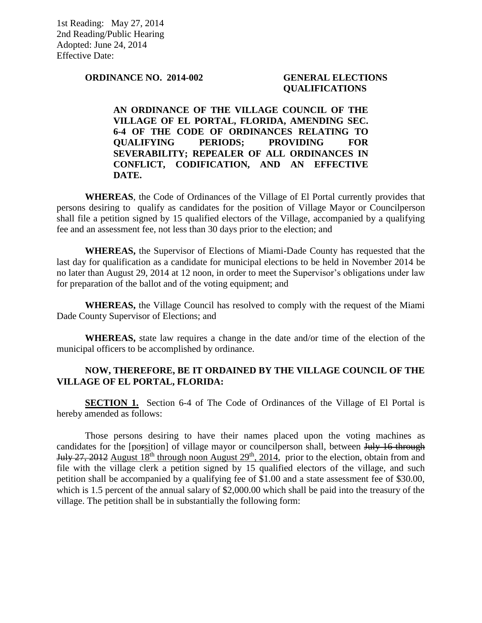1st Reading: May 27, 2014 2nd Reading/Public Hearing Adopted: June 24, 2014 Effective Date:

**ORDINANCE NO. 2014-002 GENERAL ELECTIONS** 

# **QUALIFICATIONS**

**AN ORDINANCE OF THE VILLAGE COUNCIL OF THE VILLAGE OF EL PORTAL, FLORIDA, AMENDING SEC. 6-4 OF THE CODE OF ORDINANCES RELATING TO QUALIFYING PERIODS; PROVIDING FOR SEVERABILITY; REPEALER OF ALL ORDINANCES IN CONFLICT, CODIFICATION, AND AN EFFECTIVE DATE.** 

**WHEREAS**, the Code of Ordinances of the Village of El Portal currently provides that persons desiring to qualify as candidates for the position of Village Mayor or Councilperson shall file a petition signed by 15 qualified electors of the Village, accompanied by a qualifying fee and an assessment fee, not less than 30 days prior to the election; and

**WHEREAS,** the Supervisor of Elections of Miami-Dade County has requested that the last day for qualification as a candidate for municipal elections to be held in November 2014 be no later than August 29, 2014 at 12 noon, in order to meet the Supervisor's obligations under law for preparation of the ballot and of the voting equipment; and

**WHEREAS,** the Village Council has resolved to comply with the request of the Miami Dade County Supervisor of Elections; and

**WHEREAS,** state law requires a change in the date and/or time of the election of the municipal officers to be accomplished by ordinance.

# **NOW, THEREFORE, BE IT ORDAINED BY THE VILLAGE COUNCIL OF THE VILLAGE OF EL PORTAL, FLORIDA:**

**SECTION 1.** Section 6-4 of The Code of Ordinances of the Village of El Portal is hereby amended as follows:

Those persons desiring to have their names placed upon the voting machines as candidates for the [porsition] of village mayor or councilperson shall, between July 16 through July 27, 2012 August  $18<sup>th</sup>$  through noon August  $29<sup>th</sup>$ , 2014, prior to the election, obtain from and file with the village clerk a petition signed by 15 qualified electors of the village, and such petition shall be accompanied by a qualifying fee of \$1.00 and a state assessment fee of \$30.00, which is 1.5 percent of the annual salary of \$2,000.00 which shall be paid into the treasury of the village. The petition shall be in substantially the following form: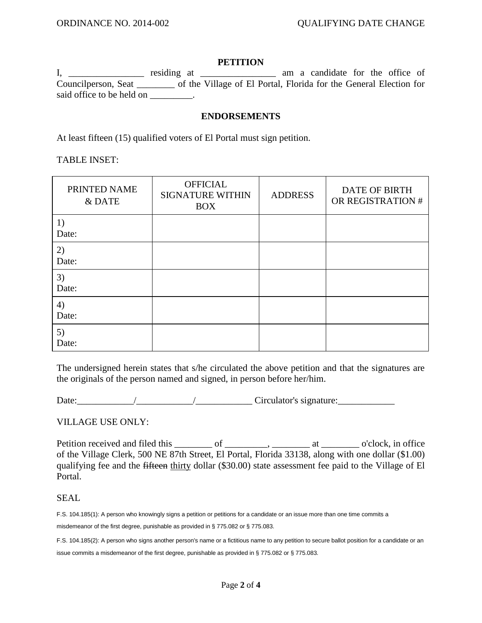### **PETITION**

I, \_\_\_\_\_\_\_\_\_\_\_\_\_\_\_\_ residing at \_\_\_\_\_\_\_\_\_\_\_\_\_\_\_ am a candidate for the office of Councilperson, Seat \_\_\_\_\_\_\_\_ of the Village of El Portal, Florida for the General Election for said office to be held on \_\_\_\_\_\_\_\_.

### **ENDORSEMENTS**

At least fifteen (15) qualified voters of El Portal must sign petition.

TABLE INSET:

| PRINTED NAME<br>& DATE | <b>OFFICIAL</b><br><b>SIGNATURE WITHIN</b><br><b>BOX</b> | <b>ADDRESS</b> | <b>DATE OF BIRTH</b><br>OR REGISTRATION # |
|------------------------|----------------------------------------------------------|----------------|-------------------------------------------|
| 1)<br>Date:            |                                                          |                |                                           |
| 2)<br>Date:            |                                                          |                |                                           |
| 3)<br>Date:            |                                                          |                |                                           |
| 4)<br>Date:            |                                                          |                |                                           |
| 5)<br>Date:            |                                                          |                |                                           |

The undersigned herein states that s/he circulated the above petition and that the signatures are the originals of the person named and signed, in person before her/him.

Date: $\frac{1}{\sqrt{2\pi}}$ 

# VILLAGE USE ONLY:

Petition received and filed this \_\_\_\_\_\_\_\_ of \_\_\_\_\_\_\_\_, \_\_\_\_\_\_\_\_\_ at \_\_\_\_\_\_\_\_\_ o'clock, in office of the Village Clerk, 500 NE 87th Street, El Portal, Florida 33138, along with one dollar (\$1.00) qualifying fee and the fifteen thirty dollar (\$30.00) state assessment fee paid to the Village of El Portal.

#### SEAL

F.S. 104.185(1): A person who knowingly signs a petition or petitions for a candidate or an issue more than one time commits a misdemeanor of the first degree, punishable as provided in § 775.082 or § 775.083.

F.S. 104.185(2): A person who signs another person's name or a fictitious name to any petition to secure ballot position for a candidate or an

issue commits a misdemeanor of the first degree, punishable as provided in § 775.082 or § 775.083.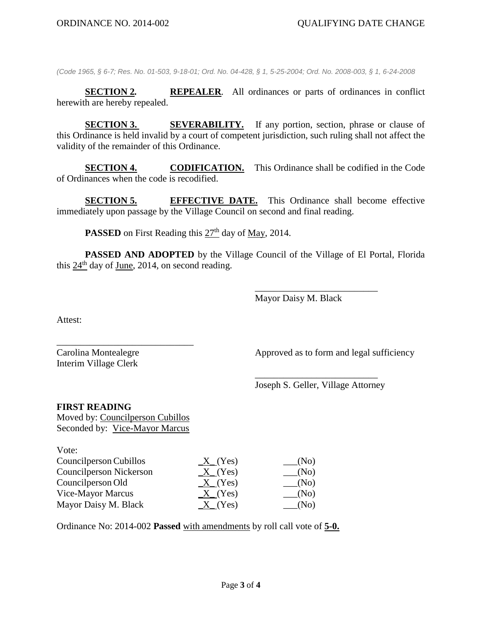*(Code 1965, § 6-7; Res. No. 01-503, 9-18-01; Ord. No. 04-428, § 1, 5-25-2004; Ord. No. 2008-003, § 1, 6-24-2008*

**SECTION 2***.* **REPEALER***.* All ordinances or parts of ordinances in conflict herewith are hereby repealed.

**SECTION 3.** SEVERABILITY. If any portion, section, phrase or clause of this Ordinance is held invalid by a court of competent jurisdiction, such ruling shall not affect the validity of the remainder of this Ordinance.

**SECTION 4. CODIFICATION.** This Ordinance shall be codified in the Code of Ordinances when the code is recodified.

**SECTION 5.** EFFECTIVE DATE. This Ordinance shall become effective immediately upon passage by the Village Council on second and final reading.

PASSED on First Reading this  $27<sup>th</sup>$  day of <u>May,</u> 2014.

**PASSED AND ADOPTED** by the Village Council of the Village of El Portal, Florida this  $24<sup>th</sup>$  day of June, 2014, on second reading.

Mayor Daisy M. Black

\_\_\_\_\_\_\_\_\_\_\_\_\_\_\_\_\_\_\_\_\_\_\_\_\_\_

Attest:

 $V_{\alpha\beta\gamma}$ 

Interim Village Clerk

Carolina Montealegre Approved as to form and legal sufficiency

\_\_\_\_\_\_\_\_\_\_\_\_\_\_\_\_\_\_\_\_\_\_\_\_\_\_ Joseph S. Geller, Village Attorney

#### **FIRST READING**

Moved by: Councilperson Cubillos Seconded by: Vice-Mayor Marcus

\_\_\_\_\_\_\_\_\_\_\_\_\_\_\_\_\_\_\_\_\_\_\_\_\_\_\_\_\_

| VOLE.                   |              |                                 |
|-------------------------|--------------|---------------------------------|
| Councilperson Cubillos  | $X_{-}(Yes)$ | $\underline{\hspace{2cm}}$ (No) |
| Councilperson Nickerson | X(Yes)       | $\sqrt{N_0}$                    |
| Councilperson Old       | $X_{-}(Yes)$ | $\sqrt{N_0}$                    |
| Vice-Mayor Marcus       | X(Yes)       | $\sqrt{N_{\rm O}}$              |
| Mayor Daisy M. Black    | $X_{-}(Yes)$ | (No)                            |
|                         |              |                                 |

Ordinance No: 2014-002 **Passed** with amendments by roll call vote of **5-0.**